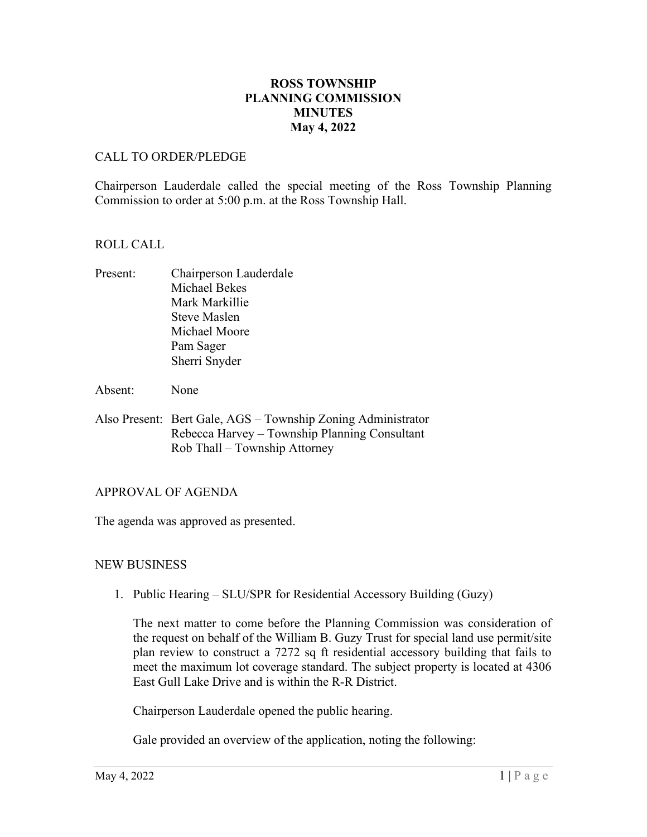# **ROSS TOWNSHIP PLANNING COMMISSION MINUTES May 4, 2022**

### CALL TO ORDER/PLEDGE

Chairperson Lauderdale called the special meeting of the Ross Township Planning Commission to order at 5:00 p.m. at the Ross Township Hall.

### ROLL CALL

- Present: Chairperson Lauderdale Michael Bekes Mark Markillie Steve Maslen Michael Moore Pam Sager Sherri Snyder
- Absent: None
- Also Present: Bert Gale, AGS Township Zoning Administrator Rebecca Harvey – Township Planning Consultant Rob Thall – Township Attorney

#### APPROVAL OF AGENDA

The agenda was approved as presented.

# NEW BUSINESS

1. Public Hearing – SLU/SPR for Residential Accessory Building (Guzy)

The next matter to come before the Planning Commission was consideration of the request on behalf of the William B. Guzy Trust for special land use permit/site plan review to construct a 7272 sq ft residential accessory building that fails to meet the maximum lot coverage standard. The subject property is located at 4306 East Gull Lake Drive and is within the R-R District.

Chairperson Lauderdale opened the public hearing.

Gale provided an overview of the application, noting the following: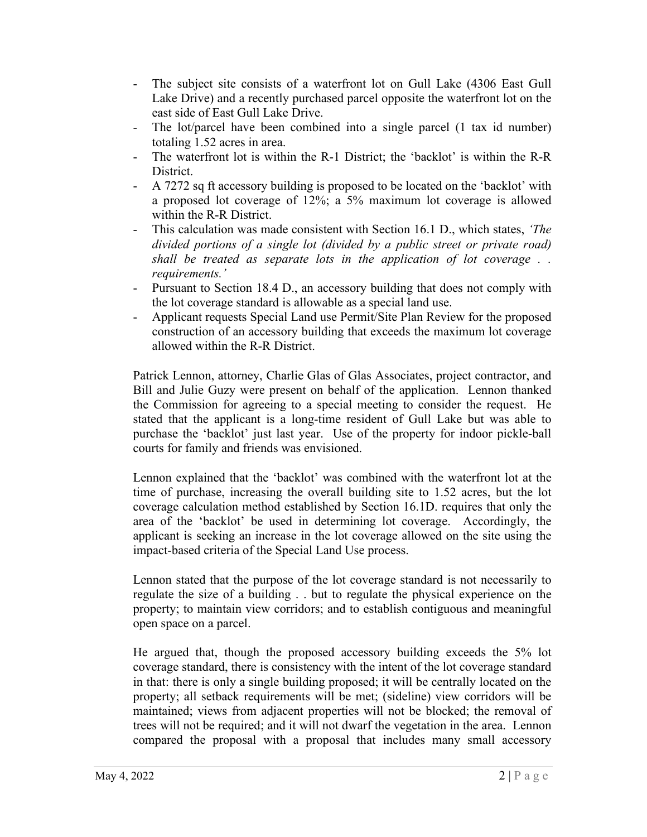- The subject site consists of a waterfront lot on Gull Lake (4306 East Gull Lake Drive) and a recently purchased parcel opposite the waterfront lot on the east side of East Gull Lake Drive.
- The lot/parcel have been combined into a single parcel (1 tax id number) totaling 1.52 acres in area.
- The waterfront lot is within the R-1 District; the 'backlot' is within the R-R District.
- A 7272 sq ft accessory building is proposed to be located on the 'backlot' with a proposed lot coverage of 12%; a 5% maximum lot coverage is allowed within the R-R District.
- This calculation was made consistent with Section 16.1 D., which states, *'The divided portions of a single lot (divided by a public street or private road) shall be treated as separate lots in the application of lot coverage . . requirements.'*
- Pursuant to Section 18.4 D., an accessory building that does not comply with the lot coverage standard is allowable as a special land use.
- Applicant requests Special Land use Permit/Site Plan Review for the proposed construction of an accessory building that exceeds the maximum lot coverage allowed within the R-R District.

Patrick Lennon, attorney, Charlie Glas of Glas Associates, project contractor, and Bill and Julie Guzy were present on behalf of the application. Lennon thanked the Commission for agreeing to a special meeting to consider the request. He stated that the applicant is a long-time resident of Gull Lake but was able to purchase the 'backlot' just last year. Use of the property for indoor pickle-ball courts for family and friends was envisioned.

Lennon explained that the 'backlot' was combined with the waterfront lot at the time of purchase, increasing the overall building site to 1.52 acres, but the lot coverage calculation method established by Section 16.1D. requires that only the area of the 'backlot' be used in determining lot coverage. Accordingly, the applicant is seeking an increase in the lot coverage allowed on the site using the impact-based criteria of the Special Land Use process.

Lennon stated that the purpose of the lot coverage standard is not necessarily to regulate the size of a building . . but to regulate the physical experience on the property; to maintain view corridors; and to establish contiguous and meaningful open space on a parcel.

He argued that, though the proposed accessory building exceeds the 5% lot coverage standard, there is consistency with the intent of the lot coverage standard in that: there is only a single building proposed; it will be centrally located on the property; all setback requirements will be met; (sideline) view corridors will be maintained; views from adjacent properties will not be blocked; the removal of trees will not be required; and it will not dwarf the vegetation in the area. Lennon compared the proposal with a proposal that includes many small accessory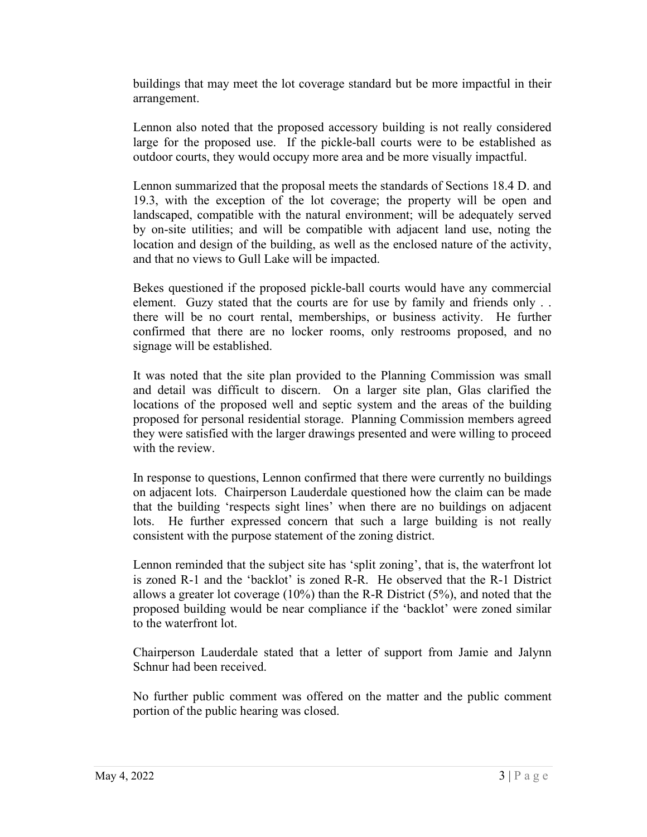buildings that may meet the lot coverage standard but be more impactful in their arrangement.

Lennon also noted that the proposed accessory building is not really considered large for the proposed use. If the pickle-ball courts were to be established as outdoor courts, they would occupy more area and be more visually impactful.

Lennon summarized that the proposal meets the standards of Sections 18.4 D. and 19.3, with the exception of the lot coverage; the property will be open and landscaped, compatible with the natural environment; will be adequately served by on-site utilities; and will be compatible with adjacent land use, noting the location and design of the building, as well as the enclosed nature of the activity, and that no views to Gull Lake will be impacted.

Bekes questioned if the proposed pickle-ball courts would have any commercial element. Guzy stated that the courts are for use by family and friends only . . there will be no court rental, memberships, or business activity. He further confirmed that there are no locker rooms, only restrooms proposed, and no signage will be established.

It was noted that the site plan provided to the Planning Commission was small and detail was difficult to discern. On a larger site plan, Glas clarified the locations of the proposed well and septic system and the areas of the building proposed for personal residential storage. Planning Commission members agreed they were satisfied with the larger drawings presented and were willing to proceed with the review.

In response to questions, Lennon confirmed that there were currently no buildings on adjacent lots. Chairperson Lauderdale questioned how the claim can be made that the building 'respects sight lines' when there are no buildings on adjacent lots. He further expressed concern that such a large building is not really consistent with the purpose statement of the zoning district.

Lennon reminded that the subject site has 'split zoning', that is, the waterfront lot is zoned R-1 and the 'backlot' is zoned R-R. He observed that the R-1 District allows a greater lot coverage  $(10\%)$  than the R-R District  $(5\%)$ , and noted that the proposed building would be near compliance if the 'backlot' were zoned similar to the waterfront lot.

Chairperson Lauderdale stated that a letter of support from Jamie and Jalynn Schnur had been received.

No further public comment was offered on the matter and the public comment portion of the public hearing was closed.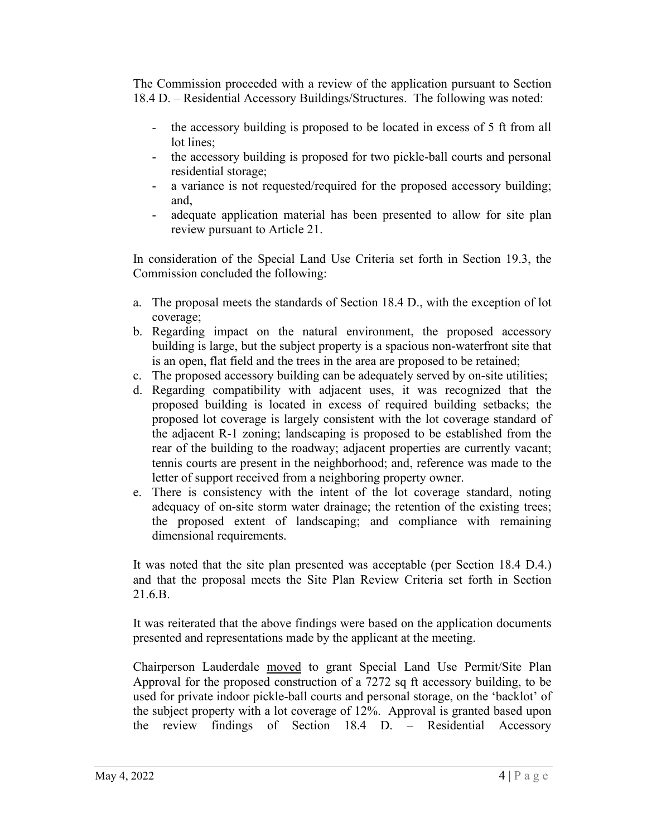The Commission proceeded with a review of the application pursuant to Section 18.4 D. – Residential Accessory Buildings/Structures. The following was noted:

- the accessory building is proposed to be located in excess of 5 ft from all lot lines;
- the accessory building is proposed for two pickle-ball courts and personal residential storage;
- a variance is not requested/required for the proposed accessory building; and,
- adequate application material has been presented to allow for site plan review pursuant to Article 21.

In consideration of the Special Land Use Criteria set forth in Section 19.3, the Commission concluded the following:

- a. The proposal meets the standards of Section 18.4 D., with the exception of lot coverage;
- b. Regarding impact on the natural environment, the proposed accessory building is large, but the subject property is a spacious non-waterfront site that is an open, flat field and the trees in the area are proposed to be retained;
- c. The proposed accessory building can be adequately served by on-site utilities;
- d. Regarding compatibility with adjacent uses, it was recognized that the proposed building is located in excess of required building setbacks; the proposed lot coverage is largely consistent with the lot coverage standard of the adjacent R-1 zoning; landscaping is proposed to be established from the rear of the building to the roadway; adjacent properties are currently vacant; tennis courts are present in the neighborhood; and, reference was made to the letter of support received from a neighboring property owner.
- e. There is consistency with the intent of the lot coverage standard, noting adequacy of on-site storm water drainage; the retention of the existing trees; the proposed extent of landscaping; and compliance with remaining dimensional requirements.

It was noted that the site plan presented was acceptable (per Section 18.4 D.4.) and that the proposal meets the Site Plan Review Criteria set forth in Section 21.6.B.

It was reiterated that the above findings were based on the application documents presented and representations made by the applicant at the meeting.

Chairperson Lauderdale moved to grant Special Land Use Permit/Site Plan Approval for the proposed construction of a 7272 sq ft accessory building, to be used for private indoor pickle-ball courts and personal storage, on the 'backlot' of the subject property with a lot coverage of 12%. Approval is granted based upon the review findings of Section 18.4 D. – Residential Accessory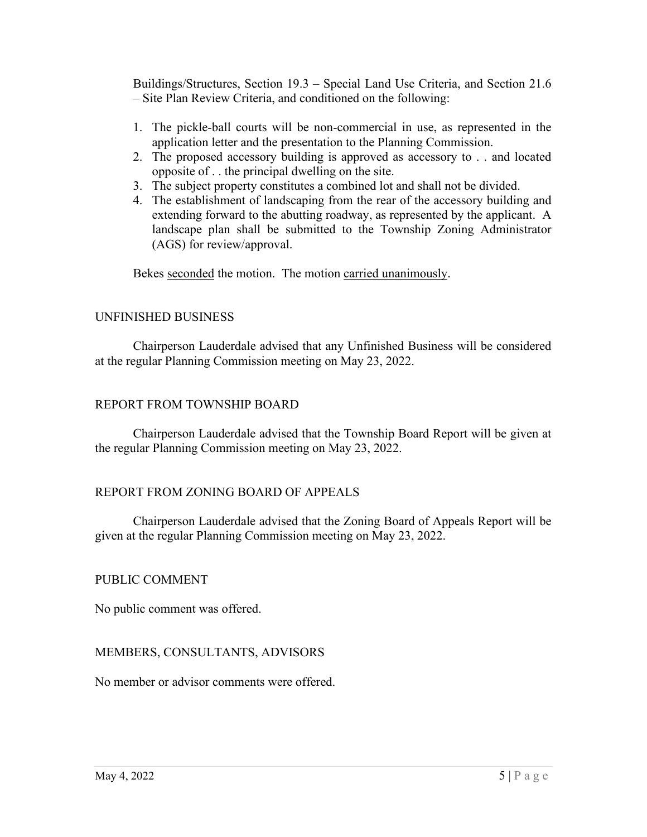Buildings/Structures, Section 19.3 – Special Land Use Criteria, and Section 21.6 – Site Plan Review Criteria, and conditioned on the following:

- 1. The pickle-ball courts will be non-commercial in use, as represented in the application letter and the presentation to the Planning Commission.
- 2. The proposed accessory building is approved as accessory to . . and located opposite of . . the principal dwelling on the site.
- 3. The subject property constitutes a combined lot and shall not be divided.
- 4. The establishment of landscaping from the rear of the accessory building and extending forward to the abutting roadway, as represented by the applicant. A landscape plan shall be submitted to the Township Zoning Administrator (AGS) for review/approval.

Bekes seconded the motion. The motion carried unanimously.

### UNFINISHED BUSINESS

Chairperson Lauderdale advised that any Unfinished Business will be considered at the regular Planning Commission meeting on May 23, 2022.

### REPORT FROM TOWNSHIP BOARD

Chairperson Lauderdale advised that the Township Board Report will be given at the regular Planning Commission meeting on May 23, 2022.

# REPORT FROM ZONING BOARD OF APPEALS

Chairperson Lauderdale advised that the Zoning Board of Appeals Report will be given at the regular Planning Commission meeting on May 23, 2022.

#### PUBLIC COMMENT

No public comment was offered.

# MEMBERS, CONSULTANTS, ADVISORS

No member or advisor comments were offered.